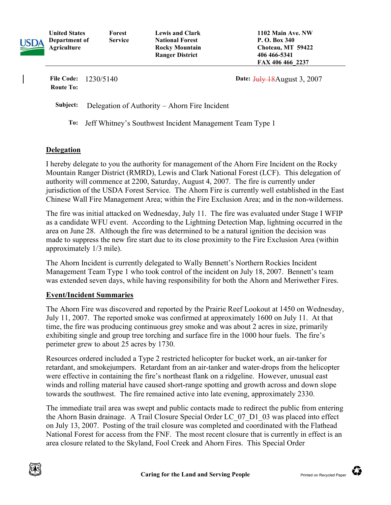| USDA | <b>United States</b><br>Department of<br>Agriculture | Forest<br><b>Service</b> | <b>Lewis and Clark</b><br><b>National Forest</b><br><b>Rocky Mountain</b><br><b>Ranger District</b> | 1102 Main Ave. NW<br>P. O. Box 340<br>Choteau, MT 59422<br>406 466 - 5341<br>FAX 406 466 2237 |
|------|------------------------------------------------------|--------------------------|-----------------------------------------------------------------------------------------------------|-----------------------------------------------------------------------------------------------|
|      | <b>File Code:</b><br><b>Route To:</b>                | 1230/5140                |                                                                                                     | Date: $July$ 18 August 3, 2007                                                                |

Subject: Delegation of Authority – Ahorn Fire Incident

To: Jeff Whitney's Southwest Incident Management Team Type 1

## Delegation

I hereby delegate to you the authority for management of the Ahorn Fire Incident on the Rocky Mountain Ranger District (RMRD), Lewis and Clark National Forest (LCF). This delegation of authority will commence at 2200, Saturday, August 4, 2007. The fire is currently under jurisdiction of the USDA Forest Service. The Ahorn Fire is currently well established in the East Chinese Wall Fire Management Area; within the Fire Exclusion Area; and in the non-wilderness.

The fire was initial attacked on Wednesday, July 11. The fire was evaluated under Stage I WFIP as a candidate WFU event. According to the Lightning Detection Map, lightning occurred in the area on June 28. Although the fire was determined to be a natural ignition the decision was made to suppress the new fire start due to its close proximity to the Fire Exclusion Area (within approximately 1/3 mile).

The Ahorn Incident is currently delegated to Wally Bennett's Northern Rockies Incident Management Team Type 1 who took control of the incident on July 18, 2007. Bennett's team was extended seven days, while having responsibility for both the Ahorn and Meriwether Fires.

## Event/Incident Summaries

The Ahorn Fire was discovered and reported by the Prairie Reef Lookout at 1450 on Wednesday, July 11, 2007. The reported smoke was confirmed at approximately 1600 on July 11. At that time, the fire was producing continuous grey smoke and was about 2 acres in size, primarily exhibiting single and group tree torching and surface fire in the 1000 hour fuels. The fire's perimeter grew to about 25 acres by 1730.

Resources ordered included a Type 2 restricted helicopter for bucket work, an air-tanker for retardant, and smokejumpers. Retardant from an air-tanker and water-drops from the helicopter were effective in containing the fire's northeast flank on a ridgeline. However, unusual east winds and rolling material have caused short-range spotting and growth across and down slope towards the southwest. The fire remained active into late evening, approximately 2330.

The immediate trail area was swept and public contacts made to redirect the public from entering the Ahorn Basin drainage. A Trail Closure Special Order LC\_07\_D1\_03 was placed into effect on July 13, 2007. Posting of the trail closure was completed and coordinated with the Flathead National Forest for access from the FNF. The most recent closure that is currently in effect is an area closure related to the Skyland, Fool Creek and Ahorn Fires. This Special Order

€

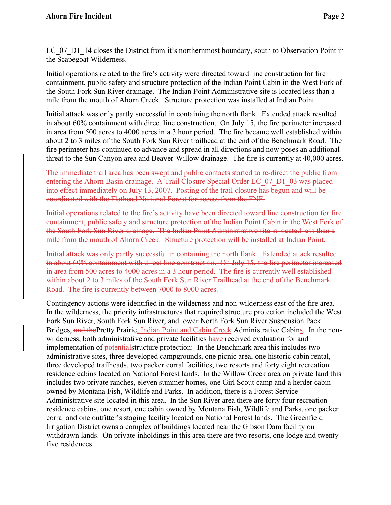LC\_07\_D1\_14 closes the District from it's northernmost boundary, south to Observation Point in the Scapegoat Wilderness.

 Initial operations related to the fire's activity were directed toward line construction for fire containment, public safety and structure protection of the Indian Point Cabin in the West Fork of the South Fork Sun River drainage. The Indian Point Administrative site is located less than a mile from the mouth of Ahorn Creek. Structure protection was installed at Indian Point.

 Initial attack was only partly successful in containing the north flank. Extended attack resulted in about 60% containment with direct line construction. On July 15, the fire perimeter increased in area from 500 acres to 4000 acres in a 3 hour period. The fire became well established within about 2 to 3 miles of the South Fork Sun River trailhead at the end of the Benchmark Road. The fire perimeter has continued to advance and spread in all directions and now poses an additional threat to the Sun Canyon area and Beaver-Willow drainage. The fire is currently at 40,000 acres.

 The immediate trail area has been swept and public contacts started to re-direct the public from entering the Ahorn Basin drainage. A Trail Closure Special Order LC 07 D1 03 was placed into effect immediately on July 13, 2007. Posting of the trail closure has begun and will be coordinated with the Flathead National Forest for access from the FNF.

 Initial operations related to the fire's activity have been directed toward line construction for fire containment, public safety and structure protection of the Indian Point Cabin in the West Fork of the South Fork Sun River drainage. The Indian Point Administrative site is located less than a mile from the mouth of Ahorn Creek. Structure protection will be installed at Indian Point.

 Initial attack was only partly successful in containing the north flank. Extended attack resulted in about 60% containment with direct line construction. On July 15, the fire perimeter increased in area from 500 acres to 4000 acres in a 3 hour period. The fire is currently well established within about 2 to 3 miles of the South Fork Sun River Trailhead at the end of the Benchmark Road. The fire is currently between 7000 to 8000 acres.

 Contingency actions were identified in the wilderness and non-wilderness east of the fire area. In the wilderness, the priority infrastructures that required structure protection included the West Fork Sun River, South Fork Sun River, and lower North Fork Sun River Suspension Pack Bridges, and thePretty Prairie, Indian Point and Cabin Creek Administrative Cabins. In the nonwilderness, both administrative and private facilities have received evaluation for and implementation of <del>potential</del>structure protection: In the Benchmark area this includes two administrative sites, three developed campgrounds, one picnic area, one historic cabin rental, three developed trailheads, two packer corral facilities, two resorts and forty eight recreation residence cabins located on National Forest lands. In the Willow Creek area on private land this includes two private ranches, eleven summer homes, one Girl Scout camp and a herder cabin owned by Montana Fish, Wildlife and Parks. In addition, there is a Forest Service Administrative site located in this area. In the Sun River area there are forty four recreation residence cabins, one resort, one cabin owned by Montana Fish, Wildlife and Parks, one packer corral and one outfitter's staging facility located on National Forest lands. The Greenfield Irrigation District owns a complex of buildings located near the Gibson Dam facility on withdrawn lands. On private inholdings in this area there are two resorts, one lodge and twenty five residences.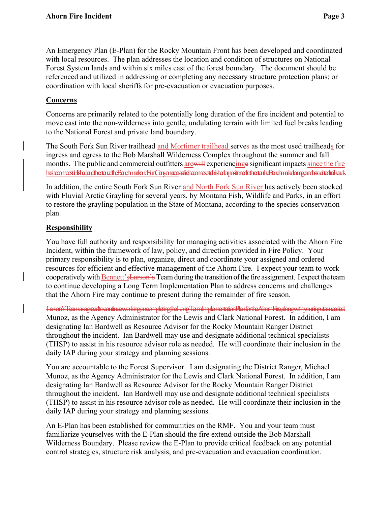An Emergency Plan (E-Plan) for the Rocky Mountain Front has been developed and coordinated with local resources. The plan addresses the location and condition of structures on National Forest System lands and within six miles east of the forest boundary. The document should be referenced and utilized in addressing or completing any necessary structure protection plans; or coordination with local sheriffs for pre-evacuation or evacuation purposes.

## Concerns

 Concerns are primarily related to the potentially long duration of the fire incident and potential to move east into the non-wilderness into gentle, undulating terrain with limited fuel breaks leading to the National Forest and private land boundary.

The South Fork Sun River trailhead and Mortimer trailhead serves as the most used trailheads for ingress and egress to the Bob Marshall Wilderness Complex throughout the summer and fall months. The public and commercial outfitters are will experiencing esignificant impacts since the fire habaameetbishedandheemedheBendmarkanSunCanyonaeasafiebaameeetbishedopositionedtotheemdheBendmarkdeingeandasociadtedheads

In addition, the entire South Fork Sun River and North Fork Sun River has actively been stocked with Fluvial Arctic Grayling for several years, by Montana Fish, Wildlife and Parks, in an effort to restore the grayling population in the State of Montana, according to the species conservation plan.

## **Responsibility**

 You have full authority and responsibility for managing activities associated with the Ahorn Fire Incident, within the framework of law, policy, and direction provided in Fire Policy. Your primary responsibility is to plan, organize, direct and coordinate your assigned and ordered resources for efficient and effective management of the Ahorn Fire. I expect your team to work cooperatively with **Bennett's Larson's** Team during the transition of the fire assignment. I expect the team to continue developing a Long Term Implementation Plan to address concerns and challenges that the Ahorn Fire may continue to present during the remainder of fire season.

 Larson'sTeamasagreedtocontinueworkingoncompletingtheLongTermImplementationPlanfortheAhornFire,alongwithyourinputasneeded. Munoz, as the Agency Administrator for the Lewis and Clark National Forest. In addition, I am designating Ian Bardwell as Resource Advisor for the Rocky Mountain Ranger District throughout the incident. Ian Bardwell may use and designate additional technical specialists (THSP) to assist in his resource advisor role as needed. He will coordinate their inclusion in the daily IAP during your strategy and planning sessions.

 You are accountable to the Forest Supervisor. I am designating the District Ranger, Michael Munoz, as the Agency Administrator for the Lewis and Clark National Forest. In addition, I am designating Ian Bardwell as Resource Advisor for the Rocky Mountain Ranger District throughout the incident. Ian Bardwell may use and designate additional technical specialists (THSP) to assist in his resource advisor role as needed. He will coordinate their inclusion in the daily IAP during your strategy and planning sessions.

 An E-Plan has been established for communities on the RMF. You and your team must familiarize yourselves with the E-Plan should the fire extend outside the Bob Marshall Wilderness Boundary. Please review the E-Plan to provide critical feedback on any potential control strategies, structure risk analysis, and pre-evacuation and evacuation coordination.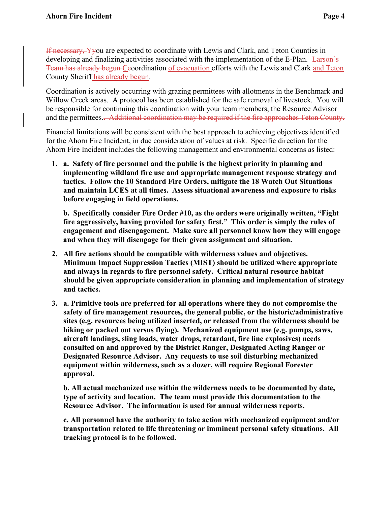If necessary, Yyou are expected to coordinate with Lewis and Clark, and Teton Counties in developing and finalizing activities associated with the implementation of the E-Plan. Larson's Team has already begun Ceoordination of evacuation efforts with the Lewis and Clark and Teton County Sheriff has already begun.

 Coordination is actively occurring with grazing permittees with allotments in the Benchmark and Willow Creek areas. A protocol has been established for the safe removal of livestock. You will be responsible for continuing this coordination with your team members, the Resource Advisor and the permittees.. Additional coordination may be required if the fire approaches Teton County.

 Financial limitations will be consistent with the best approach to achieving objectives identified for the Ahorn Fire Incident, in due consideration of values at risk. Specific direction for the Ahorn Fire Incident includes the following management and environmental concerns as listed:

 1. a. Safety of fire personnel and the public is the highest priority in planning and implementing wildland fire use and appropriate management response strategy and tactics. Follow the 10 Standard Fire Orders, mitigate the 18 Watch Out Situations and maintain LCES at all times. Assess situational awareness and exposure to risks before engaging in field operations.

 b. Specifically consider Fire Order #10, as the orders were originally written, "Fight fire aggressively, having provided for safety first." This order is simply the rules of engagement and disengagement. Make sure all personnel know how they will engage and when they will disengage for their given assignment and situation.

- 2. All fire actions should be compatible with wilderness values and objectives. Minimum Impact Suppression Tactics (MIST) should be utilized where appropriate and always in regards to fire personnel safety. Critical natural resource habitat should be given appropriate consideration in planning and implementation of strategy and tactics.
- 3. a. Primitive tools are preferred for all operations where they do not compromise the safety of fire management resources, the general public, or the historic/administrative sites (e.g. resources being utilized inserted, or released from the wilderness should be hiking or packed out versus flying). Mechanized equipment use (e.g. pumps, saws, aircraft landings, sling loads, water drops, retardant, fire line explosives) needs consulted on and approved by the District Ranger, Designated Acting Ranger or Designated Resource Advisor. Any requests to use soil disturbing mechanized equipment within wilderness, such as a dozer, will require Regional Forester approval.

 b. All actual mechanized use within the wilderness needs to be documented by date, type of activity and location. The team must provide this documentation to the Resource Advisor. The information is used for annual wilderness reports.

 c. All personnel have the authority to take action with mechanized equipment and/or transportation related to life threatening or imminent personal safety situations. All tracking protocol is to be followed.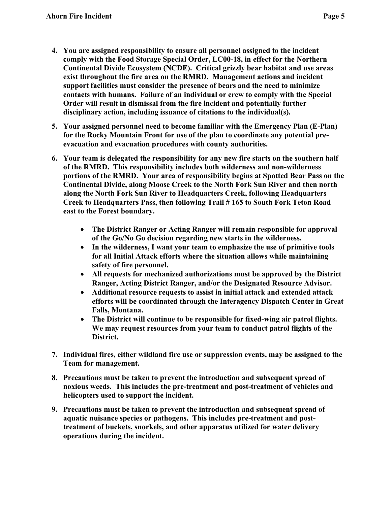- 4. You are assigned responsibility to ensure all personnel assigned to the incident comply with the Food Storage Special Order, LC00-18, in effect for the Northern Continental Divide Ecosystem (NCDE). Critical grizzly bear habitat and use areas exist throughout the fire area on the RMRD. Management actions and incident support facilities must consider the presence of bears and the need to minimize contacts with humans. Failure of an individual or crew to comply with the Special Order will result in dismissal from the fire incident and potentially further disciplinary action, including issuance of citations to the individual(s).
- 5. Your assigned personnel need to become familiar with the Emergency Plan (E-Plan) for the Rocky Mountain Front for use of the plan to coordinate any potential pre-evacuation and evacuation procedures with county authorities.
- 6. Your team is delegated the responsibility for any new fire starts on the southern half of the RMRD. This responsibility includes both wilderness and non-wilderness portions of the RMRD. Your area of responsibility begins at Spotted Bear Pass on the Continental Divide, along Moose Creek to the North Fork Sun River and then north along the North Fork Sun River to Headquarters Creek, following Headquarters Creek to Headquarters Pass, then following Trail # 165 to South Fork Teton Road east to the Forest boundary.
	- The District Ranger or Acting Ranger will remain responsible for approval of the Go/No Go decision regarding new starts in the wilderness.
	- In the wilderness, I want your team to emphasize the use of primitive tools for all Initial Attack efforts where the situation allows while maintaining safety of fire personnel.
	- All requests for mechanized authorizations must be approved by the District Ranger, Acting District Ranger, and/or the Designated Resource Advisor.
	- Additional resource requests to assist in initial attack and extended attack efforts will be coordinated through the Interagency Dispatch Center in Great Falls, Montana.
	- The District will continue to be responsible for fixed-wing air patrol flights. We may request resources from your team to conduct patrol flights of the District.
- 7. Individual fires, either wildland fire use or suppression events, may be assigned to the Team for management.
- 8. Precautions must be taken to prevent the introduction and subsequent spread of noxious weeds. This includes the pre-treatment and post-treatment of vehicles and helicopters used to support the incident.
- 9. Precautions must be taken to prevent the introduction and subsequent spread of aquatic nuisance species or pathogens. This includes pre-treatment and post- treatment of buckets, snorkels, and other apparatus utilized for water delivery operations during the incident.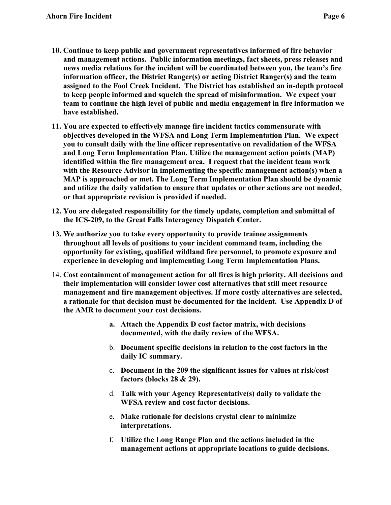- 10. Continue to keep public and government representatives informed of fire behavior and management actions. Public information meetings, fact sheets, press releases and news media relations for the incident will be coordinated between you, the team's fire information officer, the District Ranger(s) or acting District Ranger(s) and the team assigned to the Fool Creek Incident. The District has established an in-depth protocol to keep people informed and squelch the spread of misinformation. We expect your team to continue the high level of public and media engagement in fire information we have established.
- 11. You are expected to effectively manage fire incident tactics commensurate with objectives developed in the WFSA and Long Term Implementation Plan. We expect you to consult daily with the line officer representative on revalidation of the WFSA and Long Term Implementation Plan. Utilize the management action points (MAP) identified within the fire management area. I request that the incident team work with the Resource Advisor in implementing the specific management action(s) when a MAP is approached or met. The Long Term Implementation Plan should be dynamic and utilize the daily validation to ensure that updates or other actions are not needed, or that appropriate revision is provided if needed.
- 12. You are delegated responsibility for the timely update, completion and submittal of the ICS-209, to the Great Falls Interagency Dispatch Center.
- 13. We authorize you to take every opportunity to provide trainee assignments throughout all levels of positions to your incident command team, including the opportunity for existing, qualified wildland fire personnel, to promote exposure and experience in developing and implementing Long Term Implementation Plans.
- 14. Cost containment of management action for all fires is high priority. All decisions and their implementation will consider lower cost alternatives that still meet resource management and fire management objectives. If more costly alternatives are selected, a rationale for that decision must be documented for the incident. Use Appendix D of the AMR to document your cost decisions.
	- a. Attach the Appendix D cost factor matrix, with decisions documented, with the daily review of the WFSA.
	- b. Document specific decisions in relation to the cost factors in the daily IC summary.
	- c. Document in the 209 the significant issues for values at risk/cost factors (blocks 28 & 29).
	- d. Talk with your Agency Representative(s) daily to validate the WFSA review and cost factor decisions.
	- e. Make rationale for decisions crystal clear to minimize interpretations.
	- f. Utilize the Long Range Plan and the actions included in the management actions at appropriate locations to guide decisions.